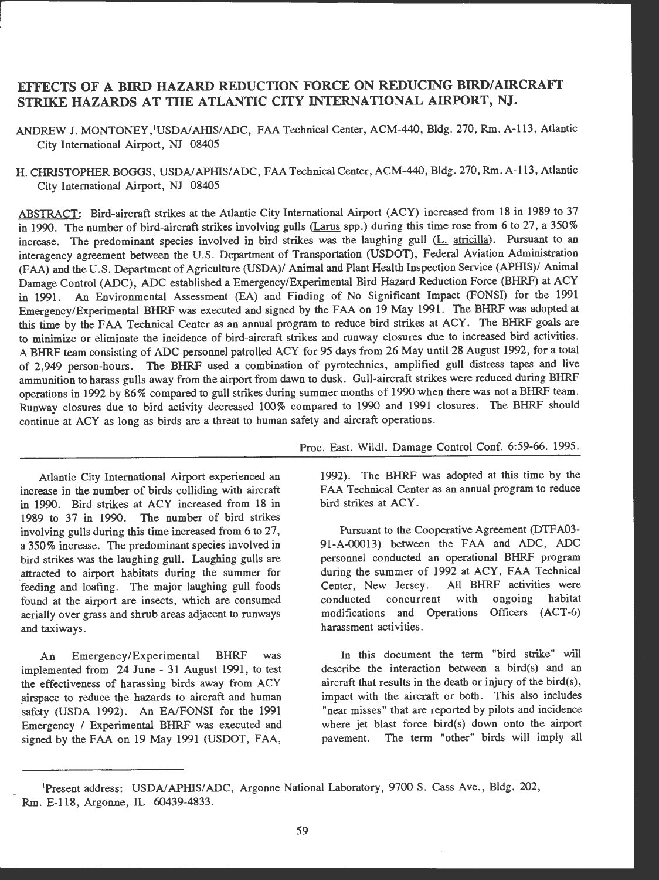# EFFECTS OF **A BIRD** HAZARD REDUCTION FORCE ON REDUCING BIRD/ AIRCRAFT **STRIKE HAZARDS AT THE ATLANTIC CITY INTERNATIONAL AIRPORT, NJ.**

ANDREW J. MONTONEY, 'USDA/AHIS/ADC, FAA Technical Center, ACM-440, Bldg. 270, Rm. A-113, Atlantic City International Airport, NJ 08405

H. CHRISTOPHER BOGGS, USDA/APHIS/ADC, FAA Technical Center, ACM-440, Bldg. 270, Rm. A-113, Atlantic City International Airport, NJ 08405

ABSTRACT: Bird-aircraft strikes at the Atlantic City International Airport (ACY) increased from 18 in 1989 to 37 in 1990. The number of bird-aircraft strikes involving gulls (Larus spp.) during this time rose from 6 to 27, a 350% increase. The predominant species involved in bird strikes was the laughing gull (L. atricilla). Pursuant to an interagency agreement between the U.S. Department of Transportation (USDOT), Federal Aviation Administration (FAA) and the U.S. Department of Agriculture (USDA)/ Animal and Plant Health Inspection Service (APHIS)/ Animal Damage Control (ADC), ADC established a Emergency/Experimental Bird Hazard Reduction Force (BHRF) at ACY in 1991. An Environmental Assessment (EA) and Finding of No Significant Impact (FONS!) for the 1991 Emergency/Experimental BHRF was executed and signed by the FAA on 19 May 1991. The BHRF was adopted at this time by the FAA Technical Center as an annual program to reduce bird strikes at ACY. The BHRF goals are to minimize or eliminate the incidence of bird-aircraft strikes and runway closures due to increased bird activities . A BHRF team consisting of ADC personnel patrolled ACY for 95 days from 26 May until 28 August 1992, for a total of 2,949 person -hours. The BHRF used a combination of pyrotechnics , amplified gull distress tapes and live ammunition to harass gulls away from the airport from dawn to dusk. Gull-aircraft strikes were reduced during BHRF operations in 1992 by 86% compared to gull strikes during summer months of 1990 when there was not a BHRF team. Runway closures due to bird activity decreased 100% compared to 1990 and 1991 closures. The BHRF should continue at ACY as long as birds are a threat to human safety and aircraft operations .

Atlantic City International Airport experienced an increase in the number of birds colliding with aircraft in 1990. Bird strikes at ACY increased from 18 in 1989 to 37 in 1990. The number of bird strikes involving gulls during this time increased from 6 to 27, a 350% increase. The predominant species involved in bird strikes was the laughing gull. Laughing gulls are \_attracted to airport habitats during the summer for feeding and loafing. The major laughing gull foods found at the airport are insects, which are consumed aerially over grass and shrub areas adjacent to runways and taxiways .

An Emergency/Experimental BHRF was implemented from 24 June - 31 August 1991, to test the effectiveness of harassing birds away from ACY airspace to reduce the hazards to aircraft and human safety (USDA 1992). An EA/FONSI for the 1991 Emergency / Experimental BHRF was executed and signed by the FAA on 19 May 1991 (USDOT, FAA, Proc. East. Wildl. Damage Control Conf. 6:59-66. 1995.

1992). The BHRF was adopted at this time by the FAA Technical Center as an annual program to reduce bird strikes at ACY.

Pursuant to the Cooperative Agreement (DTF A03- 91-A-00013) between the FAA and ADC, ADC personnel conducted an operational BHRF program during the summer of 1992 at ACY , FAA Technical Center, New Jersey. All BHRF activities were conducted concurrent with ongoing habitat modifications and Operations Officers (ACT-6) harassment activities .

In this document the term "bird strike" will describe the interaction between a bird(s) and an aircraft that results in the death or injury of the bird(s), impact with the aircraft or both. This also includes "near misses" that are reported by pilots and incidence where jet blast force bird(s) down onto the airport pavement. The term "other" birds will imply all

Present address: USDA/APHIS/ADC, Argonne National Laboratory, 9700 S. Cass Ave., Bldg. 202, Rm. E-118, Argonne, IL 60439-4833.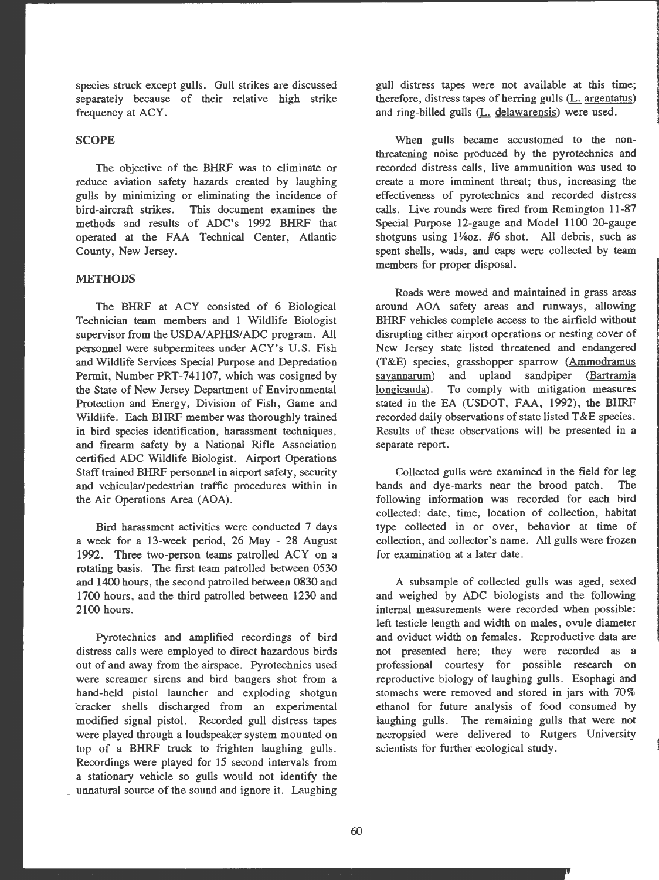species struck except gulls. Gull strikes are discussed separately because of their relative high strike frequency at ACY.

### **SCOPE**

The objective of the BHRF was to eliminate or reduce aviation safety hazards created by laughing gulls by minimizing or eliminating the incidence of bird-aircraft strikes. This document examines the methods and results of ADC's 1992 BHRF that operated at the FAA Technical Center, Atlantic County, New Jersey .

# **METHODS**

The BHRF at ACY consisted of 6 Biological Technician team members and l Wildlife Biologist supervisor from the USDA/APHIS/ADC program. All personnel were subpermitees under ACY's U.S. Fish and Wildlife Services Special Purpose and Depredation Permit, Number PRT-741107, which was cosigned by the State of New Jersey Department of Environmental Protection and Energy, Division of Fish, Game and Wildlife. Each BHRF member was thoroughly trained in bird species identification, harassment techniques , and firearm safety by a National Rifle Association certified ADC Wildlife Biologist. Airport Operations Staff trained BHRF personnel in airport safety, security and vehicular/pedestrian traffic procedures within in the Air Operations Area (AOA).

Bird harassment activities were conducted 7 days a week for a 13-week period, 26 May - 28 August 1992. Three two-person teams patrolled ACY on a rotating basis. The first team patrolled between 0530 and 1400 hours, the second patrolled between 0830 and 1700 hours, and the third patrolled between 1230 and 2100 hours.

Pyrotechnics and amplified recordings of bird distress calls were employed to direct hazardous birds out of and away from the airspace. Pyrotechnics used were screamer sirens and bird bangers shot from a hand-held pistol launcher and exploding shotgun cracker shells discharged from an experimental modified signal pistol. Recorded gull distress tapes were played through a loudspeaker system mounted on top of a BHRF truck to frighten laughing gulls. Recordings were played for 15 second intervals from a stationary vehicle so gulls would not identify the unnatural source of the sound and ignore it. Laughing

gull distress tapes were not available at this time; therefore, distress tapes of herring gulls  $(L.$  argentatus) and ring-billed gulls  $(L.$  delawarensis) were used.

When gulls became accustomed to the nonthreatening noise produced by the pyrotechnics and recorded distress calls, live ammunition was used to create a more imminent threat; thus, increasing the effectiveness of pyrotechnics and recorded distress calls. Live rounds were fired from Remington 11-87 Special Purpose 12-gauge and Model 1100 20-gauge shotguns using  $1\frac{1}{8}$  external  $\frac{1}{8}$  shot. All debris, such as spent shells, wads, and caps were collected by team members for proper disposal.

Roads were mowed and maintained in grass areas around AOA safety areas and runways, allowing BHRF vehicles complete access to the airfield without disrupting either airport operations or nesting cover of New Jersey state listed threatened and endangered (T&E) species, grasshopper sparrow (Ammodramus savannarum) and upland sandpiper (Bartramia longicauda). To comply with mitigation measures stated in the EA (USDOT, FAA, 1992), the BHRF recorded daily observations of state listed T&E species. Results of these observations will be presented in a separate report.

Collected gulls were examined in the field for leg bands and dye-marks near the brood patch. The following information was recorded for each bird collected: date, time, location of collection, habitat type collected in or over, behavior at time of collection, and collector's name. All gulls were frozen for examination at a later date.

A subsample of collected gulls was aged, sexed and weighed by ADC biologists and the following internal measurements were recorded when possible: left testicle length and width on males, ovule diameter and oviduct width on females. Reproductive data are not presented here; they were recorded as a professional courtesy for possible research on reproductive biology of laughing gulls. Esophagi and stomachs were removed and stored in jars with 70% ethanol for future analysis of food consumed by laughing gulls. The remaining gulls that were not necropsied were delivered to Rutgers University scientists for further ecological study .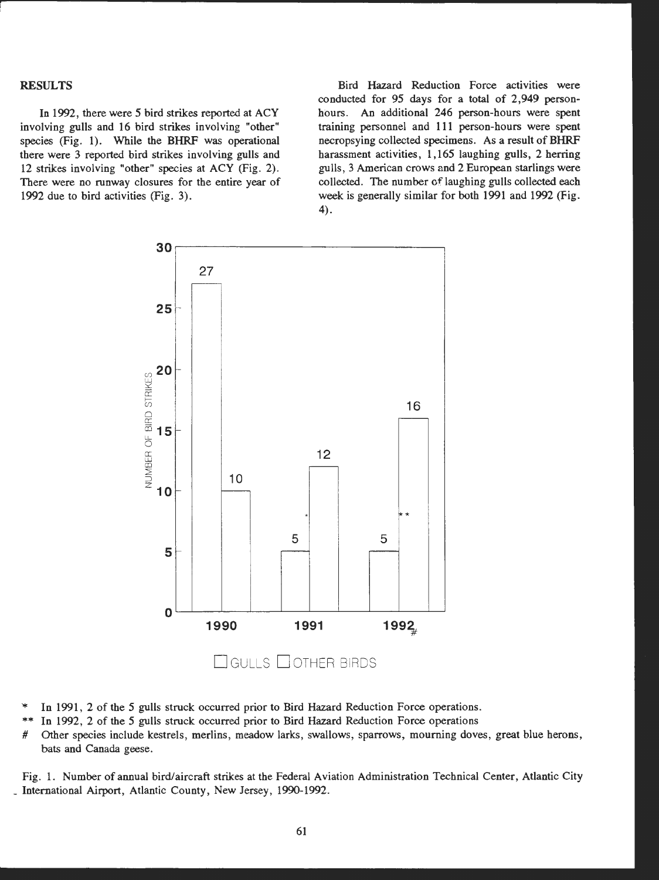### **RESULTS**

In 1992, there were *5* bird strikes reported at ACY involving gulls and 16 bird strikes involving "other" species (Fig. 1). While the BHRF was operational there were 3 reported bird strikes involving gulls and 12 strikes involving "other" species at ACY (Fig. 2). There were no runway closures for the entire year of 1992 due to bird activities (Fig. 3).

Bird Hazard Reduction Force activities were conducted for 95 days for a total of 2,949 personhours. An additional 246 person-hours were spent training personnel and 111 person-hours were spent necropsying collected specimens. As a result of BHRF harassment activities, 1,165 laughing gulls, 2 herring gulls, 3 American crows and 2 European starlings were collected. The number of laughing gulls collected each week is generally similar for both 1991 and 1992 (Fig. 4).



- In 1991, 2 of the 5 gulls struck occurred prior to Bird Hazard Reduction Force operations.
- \*\* 1n 1992, 2 of the 5 gulls struck occurred prior to Bird Hazard Reduction Force operations
- # Other species include kestrels, merlins, meadow larks, swallows, sparrows, mourning doves, great blue herons, bats and Canada geese.

Fig. 1. Number of annual bird/aircraft strikes at the Federal Aviation Administration Technical Center, Atlantic City \_ International Airport, Atlantic County , New Jersey, 1990-1992.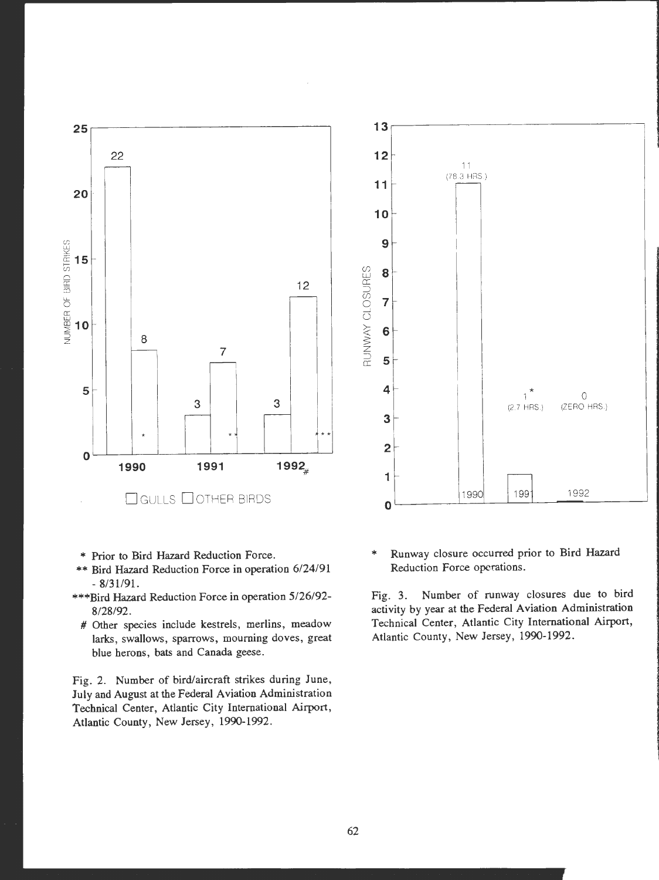



- \* Prior to Bird Hazard Reduction Force.
- \*\* Bird Hazard Reduction Force in operation 6/24/91 - 8/31/91.
- \*\*\*Bird Hazard Reduction Force in operation 5/26/92- 8/28/92.
	- # Other species include kestrels, merlins, meadow larks, swallows, sparrows, mourning doves, great blue herons, bats and Canada geese.

Fig. 2. Number of bird/aircraft strikes during June, July and August at the Federal Aviation Administration Technical Center, Atlantic City International Airport, Atlantic County, New Jersey, 1990-1992.

\* Runway closure occurred prior to Bird Hazard Reduction Force operations.

Fig. 3. Number of runway closures due to bird activity by year at the Federal Aviation Administration Technical Center, Atlantic City International Airport, Atlantic County, New Jersey, 1990-1992.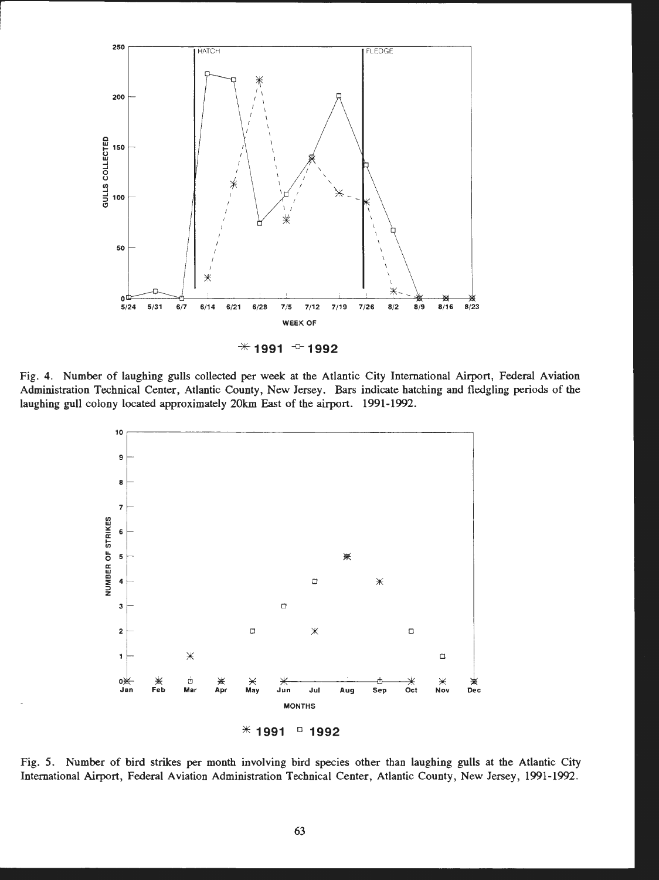

Fig. 4. Number of laughing gulls collected per week at the Atlantic City International Airport, Federal Aviation Administration Technical Center, Atlantic County, New Jersey. Bars indicate hatching and fledgling periods of the laughing gull colony located approximately 20km East of the airport. 1991-1992.



Fig. 5. Number of bird strikes per month involving bird species other than laughing gulls at the Atlantic City International Airport, Federal Aviation Administration Technical Center, Atlantic County, New Jersey, 1991-1992.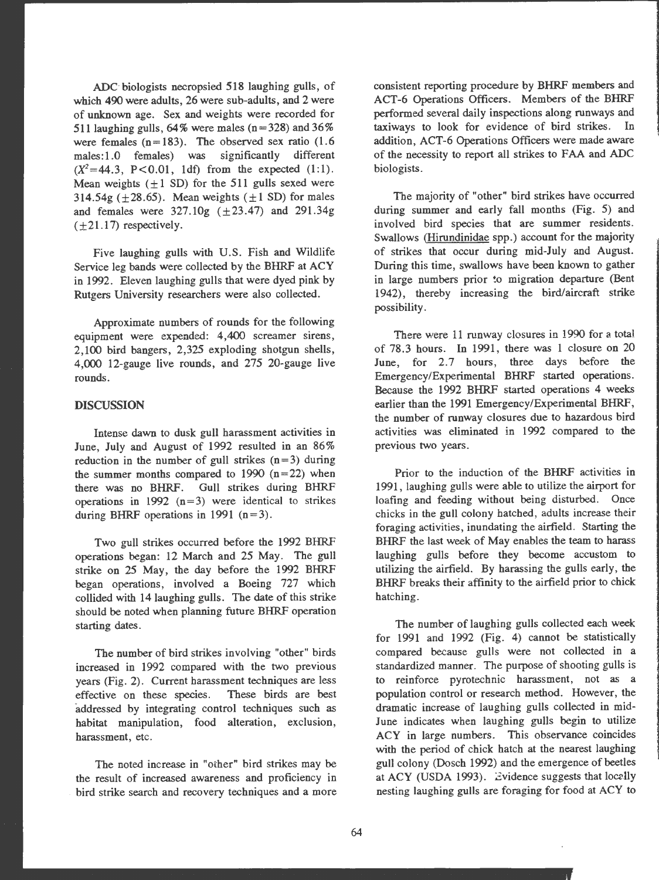ADC-biologists necropsied 518 laughing gulls, of which 490 were adults, 26 were sub-adults, and 2 were of unknown age. Sex and weights were recorded for 511 laughing gulls,  $64\%$  were males (n = 328) and 36% were females  $(n=183)$ . The observed sex ratio  $(1.6$ males: 1.0 females) was significantly different  $(X^2=44.3, P<0.01, 1df)$  from the expected (1:1). Mean weights  $(\pm 1$  SD) for the 511 gulls sexed were 314.54g ( $\pm$ 28.65). Mean weights ( $\pm$ 1 SD) for males and females were  $327.10g$  ( $\pm 23.47$ ) and  $291.34g$  $(+21.17)$  respectively.

Five laughing gulls with U.S. Fish and Wildlife Service leg bands were collected by the BHRF at ACY in 1992. Eleven laughing gulls that were dyed pink by Rutgers University researchers were also collected.

Approximate numbers of rounds for the following equipment were expended: 4,400 screamer sirens, 2,100 bird bangers, 2,325 exploding shotgun shells, **4,000** 12-gauge live rounds, and 275 20-gauge live rounds.

#### **DISCUSSION**

Intense dawn to dusk gull harassment activities in June, July and August of 1992 resulted in an 86% reduction in the number of gull strikes  $(n=3)$  during the summer months compared to 1990  $(n=22)$  when there was no BHRF. Gull strikes during BHRF operations in 1992  $(n=3)$  were identical to strikes during BHRF operations in 1991  $(n=3)$ .

Two gull strikes occurred before the 1992 BHRF operations began: 12 March and 25 May. The gull strike on 25 May, the day before the 1992 BHRF began operations, involved a Boeing 727 which collided with 14 laughing gulls. The date of this strike should be noted when planning future BHRF operation starting dates.

The number of bird strikes involving "other" birds increased in 1992 compared with the two previous years (Fig. 2). Current harassment techniques are less effective on these species. addressed by integrating control techniques such as habitat manipulation, food alteration, exclusion, harassment, etc.

The noted increase in "oiher" bird strikes may be the result of increased awareness and proficiency in bird strike search and recovery techniques and a more consistent reporting procedure by BHRF members and ACT-6 Operations Officers. Members of the BHRF performed several daily inspections along runways and taxiways to look for evidence of bird strikes. In addition. ACT-6 Operations Officers were made aware of the necessity to report all strikes to FAA and ADC biologists.

The majority of "other" bird strikes have occurred during summer and early fall months (Fig. 5) and involved bird species that are summer residents. Swallows (Hirundinidae spp.) account for the majority of strikes that occur during mid-July and August. During this time, swallows have been known to gather in large numbers prior to migration departure (Bent 1942), thereby increasing the bird/aircraft strike possibility .

There were 11 runway closures in 1990 for a total of 78.3 hours. In 1991, there was 1 closure on 20 June, for 2.7 hours, three days before the Emergency/Experimental BHRF started operations. Because the 1992 BHRF started operations 4 weeks earlier than the 1991 Emergency/Experimental BHRF, the number of runway closures due to hazardous bird activities was eliminated in 1992 compared to the previous two years.

Prior to the induction of the BHRF activities in 1991, laughing gulls were able to utilize the airport for loafing and feeding without being disturbed. Once chicks in the gull colony hatched, adults increase their foraging activities, inundating the airfield. Starting the BHRF the last week of May enables the team to harass laughing gulls before they become accustom to utilizing the airfield. By harassing the gulls early, the BHRF breaks their affinity to the airfield prior to chick hatching.

The number of laughing gulls collected each week for 1991 and 1992 (Fig. 4) cannot be statistically compared because gulls were not collected in a standardized manner. The purpose of shooting gulls is to reinforce pyrotechnic harassment, not as a population control or research method. However, the dramatic increase of laughing gulls collected in mid-June indicates when laughing gulls begin to utilize ACY in large numbers. This observance coincides with the period of chick hatch at the nearest laughing gull colony (Dosch 1992) and the emergence of beetles at ACY (USDA 1993). Evidence suggests that locally nesting laughing gulls are foraging for food at ACY to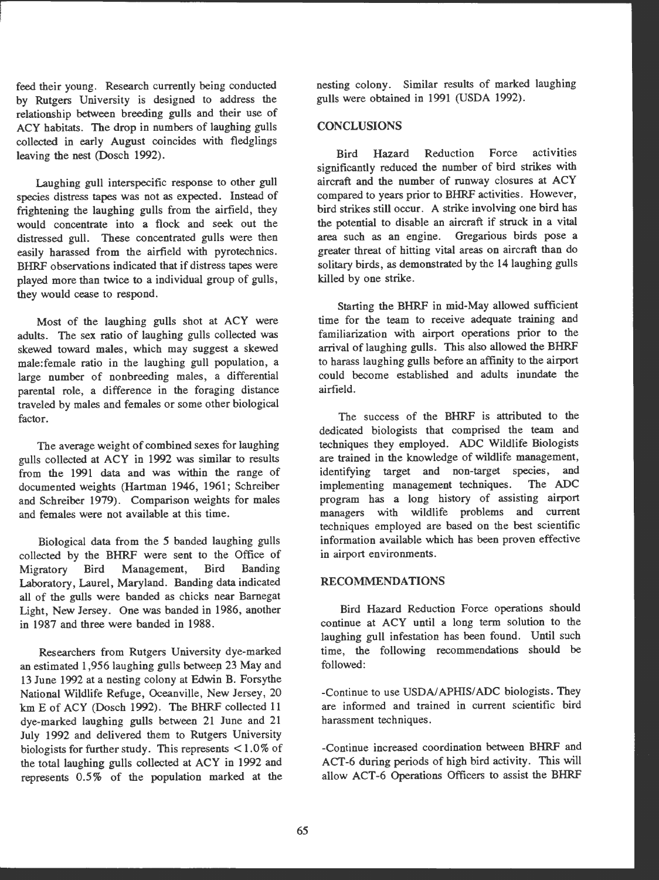feed their young. Research currently being conducted by Rutgers University is designed to address the relationship between breeding gulls and their use of ACY habitats. The drop in numbers of laughing gulls collected in early August coincides with fledglings leaving the nest (Dosch 1992).

Laughing gull interspecific response to other gull species distress tapes was not as expected. Instead of frightening the laughing gulls from the airfield, they would concentrate into a flock and seek out the distressed gull. These concentrated gulls were then easily harassed from the airfield with pyrotechnics. BHRF observations indicated that if distress tapes were <sup>p</sup>layed more than twice to a individual group of gulls, they would cease to respond.

Most of the laughing gulls shot at ACY were adults. The sex ratio of laughing gulls collected was skewed toward males, which may suggest a skewed male:female ratio in the laughing gull population, a large number of nonbreeding males, a differential parental role, a difference in the foraging distance traveled by males and females or some other biological factor.

The average weight of combined sexes for laughing gulls collected at ACY in 1992 was similar to results from the 1991 data and was within the range of documented weights (Hartman 1946, 1961; Schreiber and Schreiber 1979). Comparison weights for males and females were not available at this time.

Biological data from the *5* banded laughing gulls collected by the BHRF were sent to the Office of Migratory Bird Management, Bird Banding Laboratory, Laurel, Maryland. Banding data indicated all of the gulls were banded as chicks near Barnegat Light, New Jersey. One was banded in 1986, another in 1987 and three were banded in 1988.

Researchers from Rutgers University dye-marked an estimated 1,956 laughing gulls between 23 May and 13 June 1992 at a nesting colony at Edwin B. Forsythe National Wildlife Refuge, Oceanville, New Jersey, 20 km E of ACY (Dosch 1992). The BHRF collected 11 dye-marked laughing gulls between 21 June and 21 July 1992 and delivered them to Rutgers University biologists for further study. This represents < 1.0% of the total laughing gulls collected at ACY in 1992 and represents 0.5% of the population marked at the

nesting colony. Similar results of marked laughing gulls were obtained in 1991 (USDA 1992).

# **CONCLUSIONS**

Bird Hazard Reduction Force activities significantly reduced the number of bird strikes with aircraft and the number of runway closures at ACY compared to years prior to BHRF activities. However , bird strikes still occur. A strike involving one bird has the potential to disable an aircraft if struck in a vital area such as an engine. Gregarious birds pose a greater threat of hitting vital areas on aircraft than do solitary birds, as demonstrated by the 14 laughing gulls killed by one strike.

Starting the BHRF in mid-May allowed sufficient time for the team to receive adequate training and familiarization with airport operations prior to the arrival of laughing gulls. This also allowed the **BHRF**  to harass laughing gulls before an affinity to the airport could become established and adults inundate the airfield.

The success of the BHRF is attributed to the dedicated biologists that comprised the team and techniques they employed. ADC Wildlife Biologists are trained in the knowledge of wildlife management, identifying target and non-target species, and implementing management techniques. The ADC program has a long history of assisting airport managers with wildlife problems and current techniques employed are based on the best scientific information available which has been proven effective in airport environments.

### **RECOMMENDATIONS**

Bird Hazard Reduction Force operations should continue at ACY until a long term solution to the laughing gull infestation has been found. Until such time, the following recommendations should be followed:

-Continue to use USDA/APHIS/ADC biologists. They are informed and trained in current scientific bird harassment techniques.

-Continue increased coordination between BHRF and ACT-6 during periods of high bird activity. This will allow ACT-6 Operations Officers to assist the BHRF